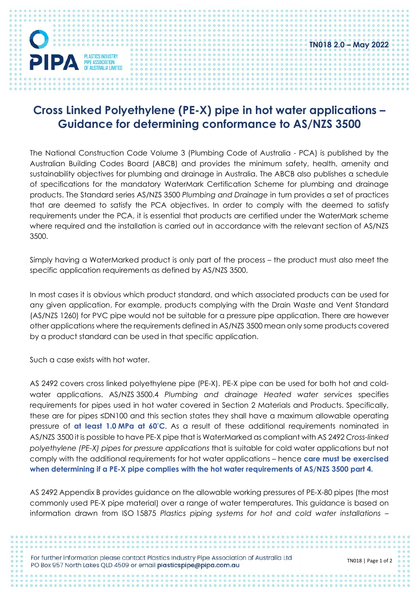## **TN018 2.0 – May 2022**  PIPA **PLASTICS INDUSTRY**

## **Cross Linked Polyethylene (PE-X) pipe in hot water applications – Guidance for determining conformance to AS/NZS 3500**

The National Construction Code Volume 3 (Plumbing Code of Australia - PCA) is published by the Australian Building Codes Board (ABCB) and provides the minimum safety, health, amenity and sustainability objectives for plumbing and drainage in Australia. The ABCB also publishes a schedule of specifications for the mandatory WaterMark Certification Scheme for plumbing and drainage products. The Standard series AS/NZS 3500 *Plumbing and Drainage* in turn provides a set of practices that are deemed to satisfy the PCA objectives. In order to comply with the deemed to satisfy requirements under the PCA, it is essential that products are certified under the WaterMark scheme where required and the installation is carried out in accordance with the relevant section of AS/NZS 3500.

Simply having a WaterMarked product is only part of the process – the product must also meet the specific application requirements as defined by AS/NZS 3500.

In most cases it is obvious which product standard, and which associated products can be used for any given application. For example, products complying with the Drain Waste and Vent Standard (AS/NZS 1260) for PVC pipe would not be suitable for a pressure pipe application. There are however other applications where the requirements defined in AS/NZS 3500 mean only some products covered by a product standard can be used in that specific application.

Such a case exists with hot water.

AS 2492 covers cross linked polyethylene pipe (PE-X). PE-X pipe can be used for both hot and coldwater applications. AS/NZS 3500.4 *Plumbing and drainage Heated water services* specifies requirements for pipes used in hot water covered in Section 2 Materials and Products. Specifically, these are for pipes ≤DN100 and this section states they shall have a maximum allowable operating pressure of **at least 1.0 MPa at 60°C**. As a result of these additional requirements nominated in AS/NZS 3500 it is possible to have PE-X pipe that is WaterMarked as compliant with AS 2492 *Cross-linked polyethylene (PE-X) pipes for pressure applications* that is suitable for cold water applications but not comply with the additional requirements for hot water applications – hence **care must be exercised when determining if a PE-X pipe complies with the hot water requirements of AS/NZS 3500 part 4.**

AS 2492 Appendix B provides guidance on the allowable working pressures of PE-X-80 pipes (the most commonly used PE-X pipe material) over a range of water temperatures. This guidance is based on information drawn from ISO 15875 *Plastics piping systems for hot and cold water installations –*

For further information please contact Plastics Industry Pipe Association of Australia Ltd PO Box 957 North Lakes QLD 4509 or email plasticspipe@pipa.com.au

TN018 | Page 1 of 2